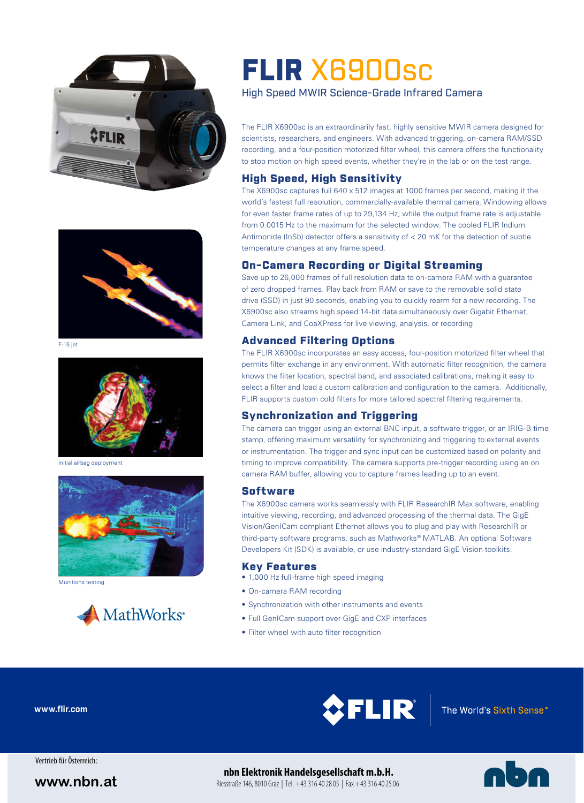



F-15 jet



Initial airbag deployment



Munitions testing



# FLIR X6900sc

High Speed MWIR Science-Grade Infrared Camera

The FLIR X6900sc is an extraordinarily fast, highly sensitive MWIR camera designed for scientists, researchers, and engineers. With advanced triggering, on-camera RAM/SSD recording, and a four-position motorized filter wheel, this camera offers the functionality to stop motion on high speed events, whether they're in the lab or on the test range.

### High Speed, High Sensitivity

The X6900sc captures full 640 x 512 images at 1000 frames per second, making it the world's fastest full resolution, commercially-available thermal camera. Windowing allows for even faster frame rates of up to 29,134 Hz, while the output frame rate is adjustable from 0.0015 Hz to the maximum for the selected window. The cooled FLIR Indium Antimonide (InSb) detector offers a sensitivity of < 20 mK for the detection of subtle temperature changes at any frame speed.

### On-Camera Recording or Digital Streaming

Save up to 26,000 frames of full resolution data to on-camera RAM with a guarantee of zero dropped frames. Play back from RAM or save to the removable solid state drive (SSD) in just 90 seconds, enabling you to quickly rearm for a new recording. The X6900sc also streams high speed 14-bit data simultaneously over Gigabit Ethernet, Camera Link, and CoaXPress for live viewing, analysis, or recording.

### Advanced Filtering Options

The FLIR X6900sc incorporates an easy access, four-position motorized filter wheel that permits filter exchange in any environment. With automatic filter recognition, the camera knows the filter location, spectral band, and associated calibrations, making it easy to select a filter and load a custom calibration and configuration to the camera. Additionally, FLIR supports custom cold filters for more tailored spectral filtering requirements.

### Synchronization and Triggering

The camera can trigger using an external BNC input, a software trigger, or an IRIG-B time stamp, offering maximum versatility for synchronizing and triggering to external events or instrumentation. The trigger and sync input can be customized based on polarity and timing to improve compatibility. The camera supports pre-trigger recording using an on camera RAM buffer, allowing you to capture frames leading up to an event.

### **Software**

The X6900sc camera works seamlessly with FLIR ResearchIR Max software, enabling intuitive viewing, recording, and advanced processing of the thermal data. The GigE Vision/GenICam compliant Ethernet allows you to plug and play with ResearchIR or third-party software programs, such as Mathworks® MATLAB. An optional Software Developers Kit (SDK) is available, or use industry-standard GigE Vision toolkits.

### Key Features

- 1,000 Hz full-frame high speed imaging
- On-camera RAM recording
- Synchronization with other instruments and events
- Full GenICam support over GigE and CXP interfaces
- Filter wheel with auto filter recognition

**www.flir.com**



Vertrieb für Österreich :

## **www.nbn.at** Riesstraße 146, 8010 Graz | Tel. +43 316 40 28 05 | Fax +43 316 40 28 06 | **Exception Cate | WWW.nbn.at**